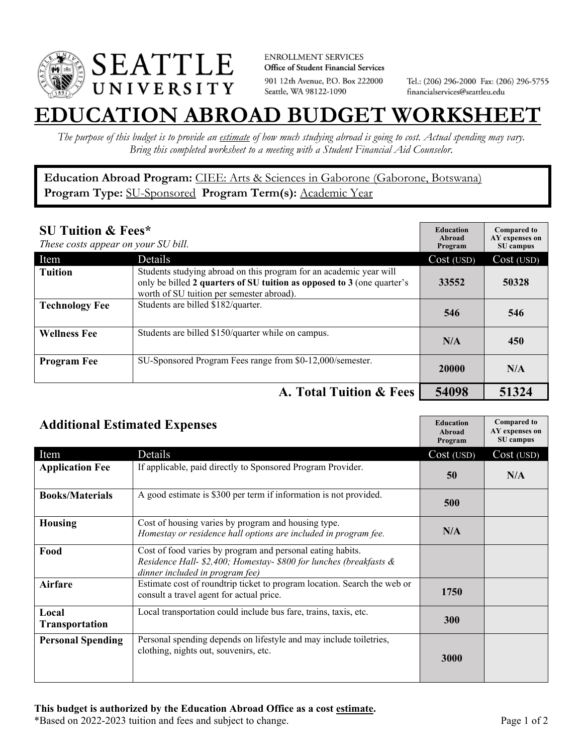

**ENROLLMENT SERVICES** Office of Student Financial Services 901 12th Avenue, P.O. Box 222000 Seattle, WA 98122-1090

Tel.: (206) 296-2000 Fax: (206) 296-5755 financialservices@seattleu.edu

## **EATION ABROAD BUDGET WORKSHEE**

*The purpose of this budget is to provide an estimate of how much studying abroad is going to cost. Actual spending may vary. Bring this completed worksheet to a meeting with a Student Financial Aid Counselor.* 

**Education Abroad Program:** CIEE: Arts & Sciences in Gaborone (Gaborone, Botswana) Program Type: **SU-Sponsored** Program Term(s): **Academic Year** 

| <b>SU Tuition &amp; Fees*</b><br>These costs appear on your SU bill. |                                                                                                                                                                                           | <b>Education</b><br>Abroad<br>Program | <b>Compared to</b><br>AY expenses on<br>SU campus |
|----------------------------------------------------------------------|-------------------------------------------------------------------------------------------------------------------------------------------------------------------------------------------|---------------------------------------|---------------------------------------------------|
| Item                                                                 | <b>Details</b>                                                                                                                                                                            | Cost (USD)                            | Cost (USD)                                        |
| <b>Tuition</b>                                                       | Students studying abroad on this program for an academic year will<br>only be billed 2 quarters of SU tuition as opposed to 3 (one quarter's<br>worth of SU tuition per semester abroad). | 33552                                 | 50328                                             |
| <b>Technology Fee</b>                                                | Students are billed \$182/quarter.                                                                                                                                                        | 546                                   | 546                                               |
| <b>Wellness Fee</b>                                                  | Students are billed \$150/quarter while on campus.                                                                                                                                        | N/A                                   | 450                                               |
| <b>Program Fee</b>                                                   | SU-Sponsored Program Fees range from \$0-12,000/semester.                                                                                                                                 | 20000                                 | N/A                                               |
|                                                                      | A. Total Tuition & Fees                                                                                                                                                                   | 54098                                 | 51324                                             |

| <b>Additional Estimated Expenses</b> |                                                                                                                                                                     | <b>Education</b><br>Abroad<br>Program | <b>Compared to</b><br>AY expenses on<br>SU campus |
|--------------------------------------|---------------------------------------------------------------------------------------------------------------------------------------------------------------------|---------------------------------------|---------------------------------------------------|
| Item                                 | Details                                                                                                                                                             | Cost (USD)                            | Cost (USD)                                        |
| <b>Application Fee</b>               | If applicable, paid directly to Sponsored Program Provider.                                                                                                         | 50                                    | N/A                                               |
| <b>Books/Materials</b>               | A good estimate is \$300 per term if information is not provided.                                                                                                   | 500                                   |                                                   |
| <b>Housing</b>                       | Cost of housing varies by program and housing type.<br>Homestay or residence hall options are included in program fee.                                              | N/A                                   |                                                   |
| Food                                 | Cost of food varies by program and personal eating habits.<br>Residence Hall- \$2,400; Homestay- \$800 for lunches (breakfasts &<br>dinner included in program fee) |                                       |                                                   |
| <b>Airfare</b>                       | Estimate cost of roundtrip ticket to program location. Search the web or<br>consult a travel agent for actual price.                                                | 1750                                  |                                                   |
| Local<br><b>Transportation</b>       | Local transportation could include bus fare, trains, taxis, etc.                                                                                                    | 300                                   |                                                   |
| <b>Personal Spending</b>             | Personal spending depends on lifestyle and may include toiletries,<br>clothing, nights out, souvenirs, etc.                                                         | 3000                                  |                                                   |

\*Based on 2022-2023 tuition and fees and subject to change. Page 1 of 2